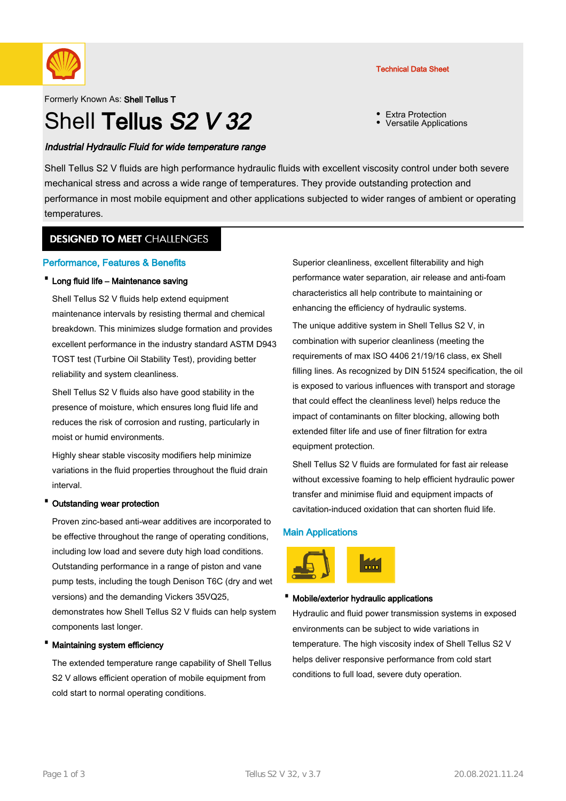

#### Formerly Known As: Shell Tellus T

# Shell Tellus S<sub>2</sub> V 32

# Industrial Hydraulic Fluid for wide temperature range

Technical Data Sheet

- Extra Protection
- Versatile Applications

Shell Tellus S2 V fluids are high performance hydraulic fluids with excellent viscosity control under both severe mechanical stress and across a wide range of temperatures. They provide outstanding protection and performance in most mobile equipment and other applications subjected to wider ranges of ambient or operating temperatures.

# **DESIGNED TO MEET CHALLENGES**

# Performance, Features & Benefits

# · Long fluid life – Maintenance saving

Shell Tellus S2 V fluids help extend equipment maintenance intervals by resisting thermal and chemical breakdown. This minimizes sludge formation and provides excellent performance in the industry standard ASTM D943 TOST test (Turbine Oil Stability Test), providing better reliability and system cleanliness.

Shell Tellus S2 V fluids also have good stability in the presence of moisture, which ensures long fluid life and reduces the risk of corrosion and rusting, particularly in moist or humid environments.

Highly shear stable viscosity modifiers help minimize variations in the fluid properties throughout the fluid drain interval.

#### Outstanding wear protection

Proven zinc-based anti-wear additives are incorporated to be effective throughout the range of operating conditions, including low load and severe duty high load conditions. Outstanding performance in a range of piston and vane pump tests, including the tough Denison T6C (dry and wet versions) and the demanding Vickers 35VQ25, demonstrates how Shell Tellus S2 V fluids can help system components last longer.

#### · Maintaining system efficiency

The extended temperature range capability of Shell Tellus S2 V allows efficient operation of mobile equipment from cold start to normal operating conditions.

Superior cleanliness, excellent filterability and high performance water separation, air release and anti-foam characteristics all help contribute to maintaining or enhancing the efficiency of hydraulic systems.

The unique additive system in Shell Tellus S2 V, in combination with superior cleanliness (meeting the requirements of max ISO 4406 21/19/16 class, ex Shell filling lines. As recognized by DIN 51524 specification, the oil is exposed to various influences with transport and storage that could effect the cleanliness level) helps reduce the impact of contaminants on filter blocking, allowing both extended filter life and use of finer filtration for extra equipment protection.

Shell Tellus S2 V fluids are formulated for fast air release without excessive foaming to help efficient hydraulic power transfer and minimise fluid and equipment impacts of cavitation-induced oxidation that can shorten fluid life.

# Main Applications



#### · Mobile/exterior hydraulic applications

Hydraulic and fluid power transmission systems in exposed environments can be subject to wide variations in temperature. The high viscosity index of Shell Tellus S2 V helps deliver responsive performance from cold start conditions to full load, severe duty operation.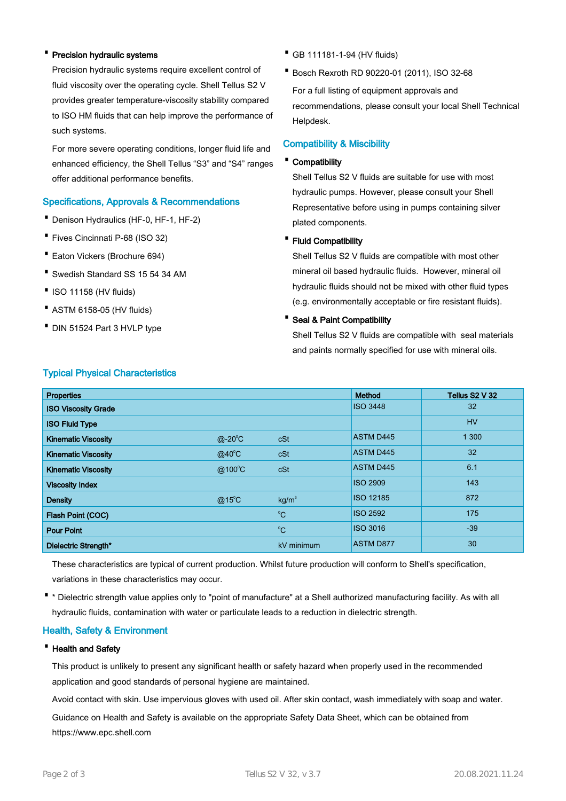## · Precision hydraulic systems

Precision hydraulic systems require excellent control of fluid viscosity over the operating cycle. Shell Tellus S2 V provides greater temperature-viscosity stability compared to ISO HM fluids that can help improve the performance of such systems.

For more severe operating conditions, longer fluid life and enhanced efficiency, the Shell Tellus "S3" and "S4" ranges offer additional performance benefits.

# Specifications, Approvals & Recommendations

- · Denison Hydraulics (HF-0, HF-1, HF-2)
- · Fives Cincinnati P-68 (ISO 32)
- · Eaton Vickers (Brochure 694)
- · Swedish Standard SS 15 54 34 AM
- ·ISO 11158 (HV fluids)
- · ASTM 6158-05 (HV fluids)
- · DIN 51524 Part 3 HVLP type
- · GB 111181-1-94 (HV fluids)
- · Bosch Rexroth RD 90220-01 (2011), ISO 32-68

For a full listing of equipment approvals and recommendations, please consult your local Shell Technical Helpdesk.

#### Compatibility & Miscibility

#### · Compatibility

Shell Tellus S2 V fluids are suitable for use with most hydraulic pumps. However, please consult your Shell Representative before using in pumps containing silver plated components.

#### · Fluid Compatibility

Shell Tellus S2 V fluids are compatible with most other mineral oil based hydraulic fluids. However, mineral oil hydraulic fluids should not be mixed with other fluid types (e.g. environmentally acceptable or fire resistant fluids).

#### · Seal & Paint Compatibility

Shell Tellus S2 V fluids are compatible with seal materials and paints normally specified for use with mineral oils.

| <b>Properties</b>          |                 |                   | <b>Method</b>    | Tellus S2 V 32 |
|----------------------------|-----------------|-------------------|------------------|----------------|
| <b>ISO Viscosity Grade</b> |                 |                   | <b>ISO 3448</b>  | 32             |
| <b>ISO Fluid Type</b>      |                 |                   |                  | <b>HV</b>      |
| <b>Kinematic Viscosity</b> | $@-20^{\circ}C$ | cSt               | <b>ASTM D445</b> | 1 300          |
| <b>Kinematic Viscosity</b> | $@$ 40 $°C$     | cSt               | <b>ASTM D445</b> | 32             |
| <b>Kinematic Viscosity</b> | @100°C          | cSt               | <b>ASTM D445</b> | 6.1            |
| <b>Viscosity Index</b>     |                 |                   | <b>ISO 2909</b>  | 143            |
| <b>Density</b>             | $@15^{\circ}$ C | kg/m <sup>3</sup> | <b>ISO 12185</b> | 872            |
| Flash Point (COC)          |                 | $^{\circ}C$       | <b>ISO 2592</b>  | 175            |
| <b>Pour Point</b>          |                 | $^{\circ}C$       | <b>ISO 3016</b>  | $-39$          |
| Dielectric Strength*       |                 | kV minimum        | <b>ASTM D877</b> | 30             |

# Typical Physical Characteristics

These characteristics are typical of current production. Whilst future production will conform to Shell's specification, variations in these characteristics may occur.

· \* Dielectric strength value applies only to "point of manufacture" at a Shell authorized manufacturing facility. As with all hydraulic fluids, contamination with water or particulate leads to a reduction in dielectric strength.

## Health, Safety & Environment

#### · Health and Safety

This product is unlikely to present any significant health or safety hazard when properly used in the recommended application and good standards of personal hygiene are maintained.

Avoid contact with skin. Use impervious gloves with used oil. After skin contact, wash immediately with soap and water.

Guidance on Health and Safety is available on the appropriate Safety Data Sheet, which can be obtained from https://www.epc.shell.com